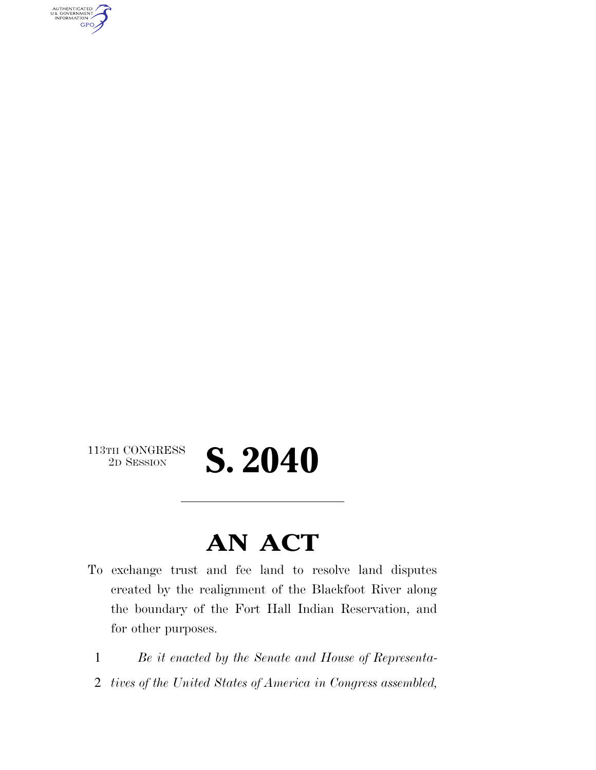AUTHENTICATED<br>U.S. GOVERNMENT<br>INFORMATION **GPO** 

### 113TH CONGRESS<br>2D SESSION

## 2D SESSION **S. 2040**

### **AN ACT**

- To exchange trust and fee land to resolve land disputes created by the realignment of the Blackfoot River along the boundary of the Fort Hall Indian Reservation, and for other purposes.
- 1 *Be it enacted by the Senate and House of Representa-*
- 2 *tives of the United States of America in Congress assembled,*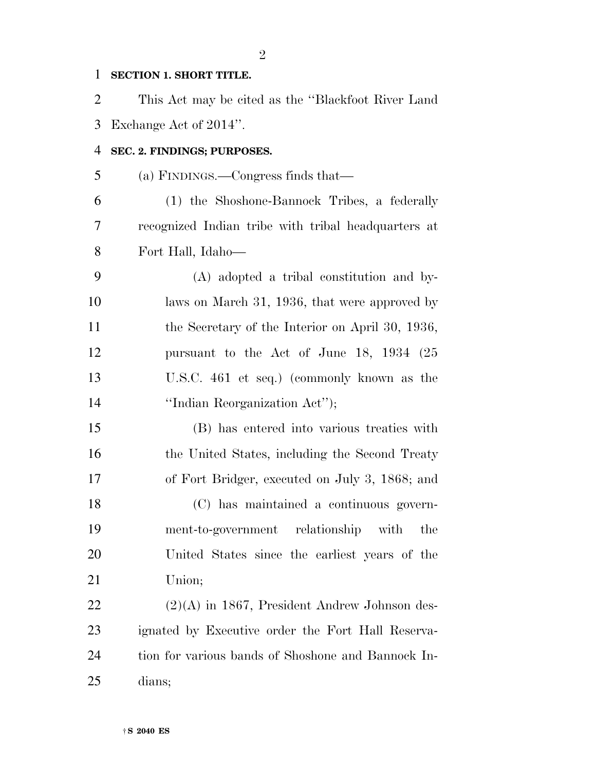#### **SECTION 1. SHORT TITLE.**

 This Act may be cited as the ''Blackfoot River Land Exchange Act of 2014''.

#### **SEC. 2. FINDINGS; PURPOSES.**

(a) FINDINGS.—Congress finds that—

 (1) the Shoshone-Bannock Tribes, a federally recognized Indian tribe with tribal headquarters at Fort Hall, Idaho—

 (A) adopted a tribal constitution and by-10 laws on March 31, 1936, that were approved by 11 the Secretary of the Interior on April 30, 1936, pursuant to the Act of June 18, 1934 (25 U.S.C. 461 et seq.) (commonly known as the ''Indian Reorganization Act'');

 (B) has entered into various treaties with 16 the United States, including the Second Treaty of Fort Bridger, executed on July 3, 1868; and

 (C) has maintained a continuous govern- ment-to-government relationship with the United States since the earliest years of the Union;

 $(2)(A)$  in 1867, President Andrew Johnson des- ignated by Executive order the Fort Hall Reserva- tion for various bands of Shoshone and Bannock In-dians;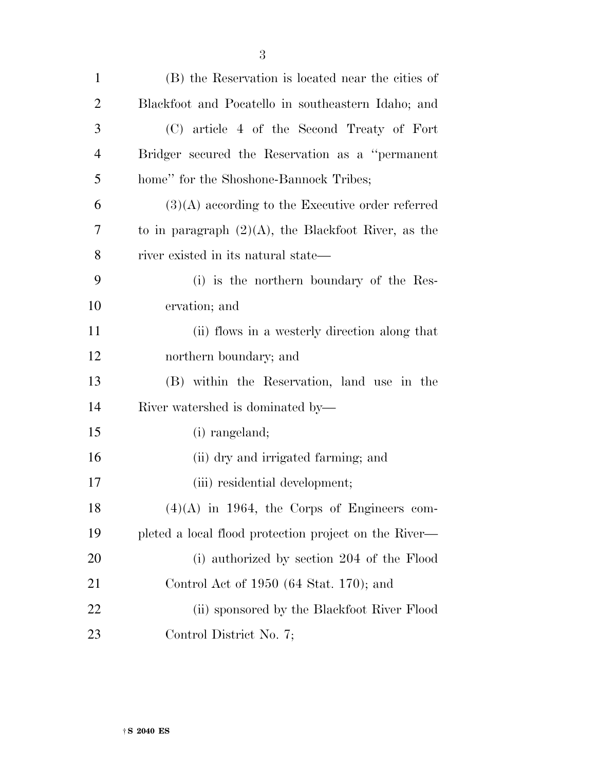| $\mathbf{1}$ | (B) the Reservation is located near the cities of      |
|--------------|--------------------------------------------------------|
| 2            | Blackfoot and Pocatello in southeastern Idaho; and     |
| 3            | (C) article 4 of the Second Treaty of Fort             |
| 4            | Bridger secured the Reservation as a "permanent"       |
| 5            | home" for the Shoshone-Bannock Tribes;                 |
| 6            | $(3)(A)$ according to the Executive order referred     |
| 7            | to in paragraph $(2)(A)$ , the Blackfoot River, as the |
| 8            | river existed in its natural state—                    |
| 9            | (i) is the northern boundary of the Res-               |
| 10           | ervation; and                                          |
| 11           | (ii) flows in a westerly direction along that          |
| 12           | northern boundary; and                                 |
| 13           | (B) within the Reservation, land use in the            |
| 14           | River watershed is dominated by—                       |
| 15           | (i) rangeland;                                         |
| 16           | (ii) dry and irrigated farming; and                    |
| 17           | (iii) residential development;                         |
| 18           | $(4)(A)$ in 1964, the Corps of Engineers com-          |
| 19           | pleted a local flood protection project on the River—  |
| <b>20</b>    | (i) authorized by section 204 of the Flood             |
| 21           | Control Act of 1950 (64 Stat. 170); and                |
| 22           | (ii) sponsored by the Blackfoot River Flood            |
| 23           | Control District No. 7;                                |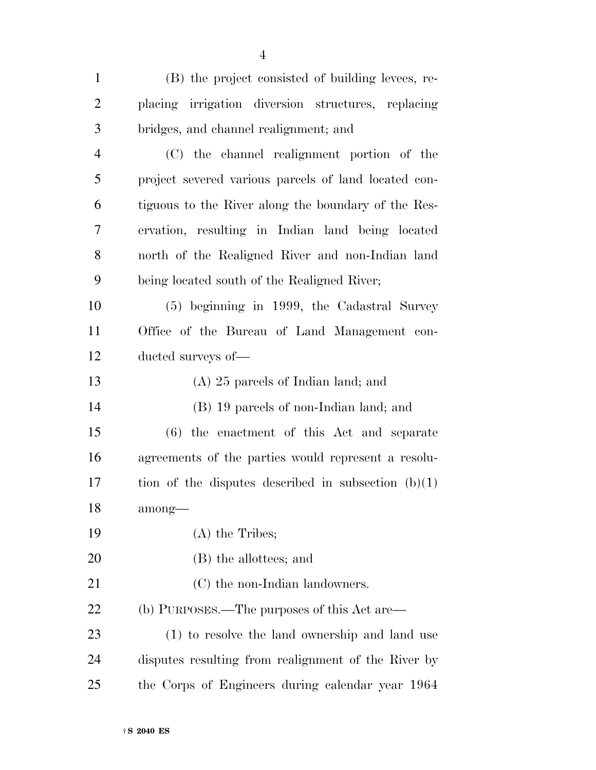| $\mathbf{1}$   | (B) the project consisted of building levees, re-     |
|----------------|-------------------------------------------------------|
| $\overline{2}$ | placing irrigation diversion structures, replacing    |
| 3              | bridges, and channel realignment; and                 |
| 4              | (C) the channel realignment portion of the            |
| 5              | project severed various parcels of land located con-  |
| 6              | tiguous to the River along the boundary of the Res-   |
| 7              | ervation, resulting in Indian land being located      |
| 8              | north of the Realigned River and non-Indian land      |
| 9              | being located south of the Realigned River;           |
| 10             | (5) beginning in 1999, the Cadastral Survey           |
| 11             | Office of the Bureau of Land Management con-          |
| 12             | ducted surveys of—                                    |
| 13             | $(A)$ 25 parcels of Indian land; and                  |
| 14             | (B) 19 parcels of non-Indian land; and                |
| 15             | $(6)$ the enactment of this Act and separate          |
| 16             | agreements of the parties would represent a resolu-   |
| 17             | tion of the disputes described in subsection $(b)(1)$ |
| 18             | among—                                                |
| 19             | $(A)$ the Tribes;                                     |
| 20             | (B) the allottees; and                                |
| 21             | (C) the non-Indian landowners.                        |
| 22             | (b) PURPOSES.—The purposes of this Act are—           |
| 23             | (1) to resolve the land ownership and land use        |
| 24             | disputes resulting from realignment of the River by   |
| 25             | the Corps of Engineers during calendar year 1964      |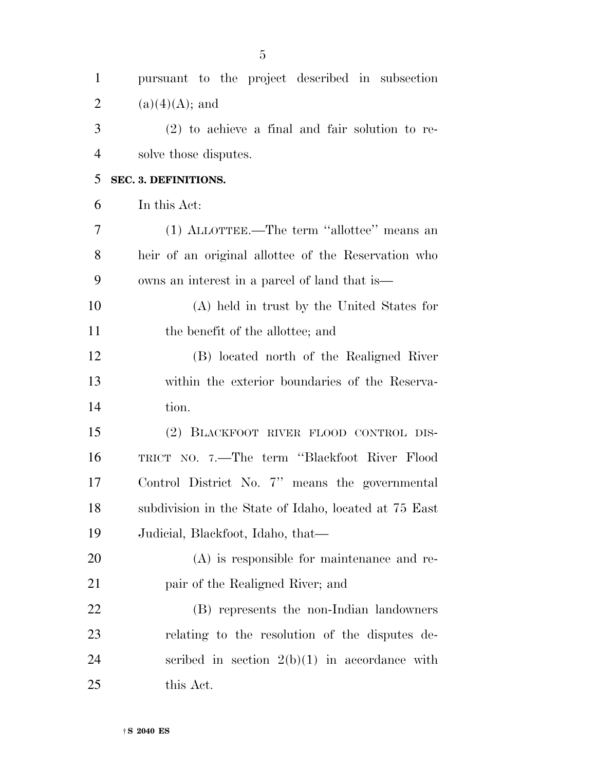| $\mathbf{1}$   | pursuant to the project described in subsection       |
|----------------|-------------------------------------------------------|
| $\overline{2}$ | $(a)(4)(A);$ and                                      |
| 3              | $(2)$ to achieve a final and fair solution to re-     |
| 4              | solve those disputes.                                 |
| 5              | SEC. 3. DEFINITIONS.                                  |
| 6              | In this Act:                                          |
| 7              | (1) ALLOTTEE.—The term "allottee" means an            |
| 8              | heir of an original allottee of the Reservation who   |
| 9              | owns an interest in a parcel of land that is—         |
| 10             | (A) held in trust by the United States for            |
| 11             | the benefit of the allottee; and                      |
| 12             | (B) located north of the Realigned River              |
| 13             | within the exterior boundaries of the Reserva-        |
| 14             | tion.                                                 |
| 15             | (2) BLACKFOOT RIVER FLOOD CONTROL DIS-                |
| 16             | TRICT NO. 7.-The term "Blackfoot River Flood          |
| 17             | Control District No. 7" means the governmental        |
| 18             | subdivision in the State of Idaho, located at 75 East |
| 19             | Judicial, Blackfoot, Idaho, that—                     |
| 20             | $(A)$ is responsible for maintenance and re-          |
| 21             | pair of the Realigned River; and                      |
| 22             | (B) represents the non-Indian landowners              |
| 23             | relating to the resolution of the disputes de-        |
| 24             | scribed in section $2(b)(1)$ in accordance with       |
| 25             | this Act.                                             |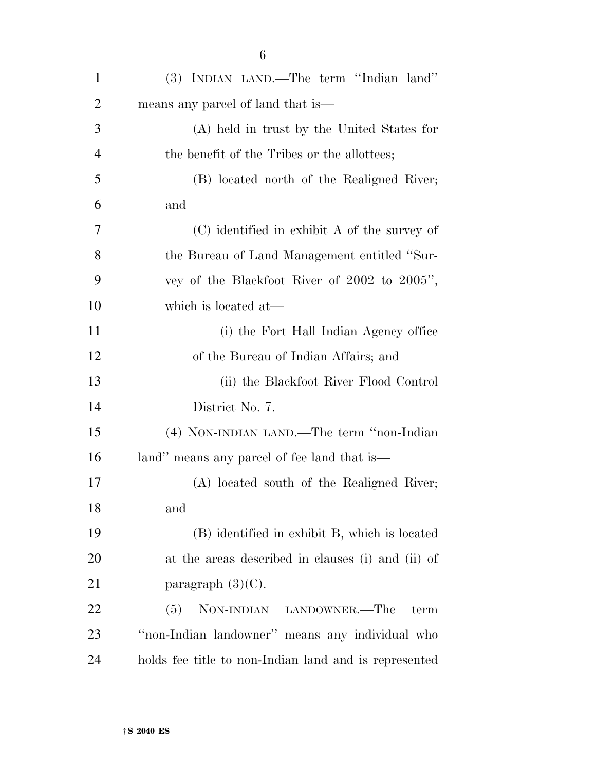| 1              | (3) INDIAN LAND.—The term "Indian land"               |
|----------------|-------------------------------------------------------|
| $\overline{2}$ | means any parcel of land that is                      |
| 3              | (A) held in trust by the United States for            |
| 4              | the benefit of the Tribes or the allottees;           |
| 5              | (B) located north of the Realigned River;             |
| 6              | and                                                   |
| 7              | $(C)$ identified in exhibit A of the survey of        |
| 8              | the Bureau of Land Management entitled "Sur-          |
| 9              | vey of the Blackfoot River of 2002 to 2005",          |
| 10             | which is located at—                                  |
| 11             | (i) the Fort Hall Indian Agency office                |
| 12             | of the Bureau of Indian Affairs; and                  |
| 13             | (ii) the Blackfoot River Flood Control                |
| 14             | District No. 7.                                       |
| 15             | (4) NON-INDIAN LAND.—The term "non-Indian             |
| 16             | land" means any parcel of fee land that is—           |
| 17             | (A) located south of the Realigned River;             |
| 18             | and                                                   |
| 19             | (B) identified in exhibit B, which is located         |
| 20             | at the areas described in clauses (i) and (ii) of     |
| 21             | paragraph $(3)(C)$ .                                  |
| 22             | NON-INDIAN LANDOWNER.—The<br>(5)<br>term              |
| 23             | "non-Indian landowner" means any individual who       |
| 24             | holds fee title to non-Indian land and is represented |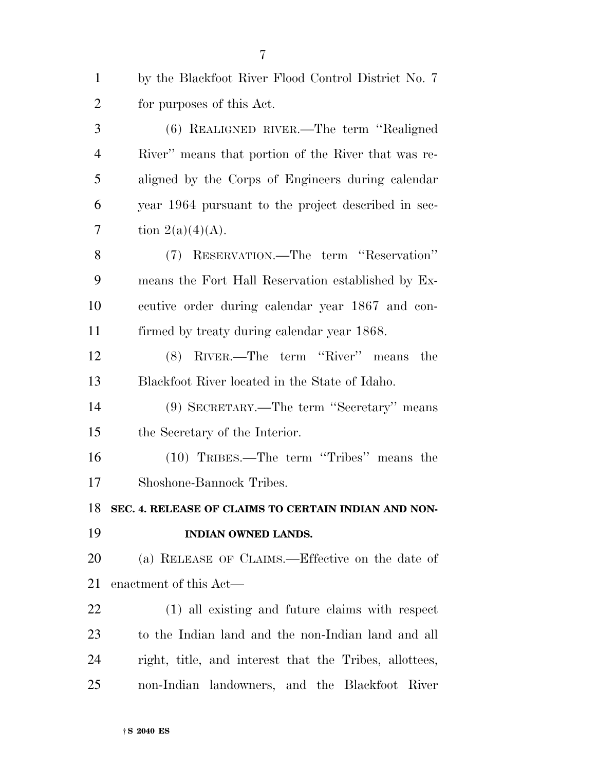| $\mathbf{1}$   | by the Blackfoot River Flood Control District No. 7    |
|----------------|--------------------------------------------------------|
| $\overline{2}$ | for purposes of this Act.                              |
| 3              | (6) REALIGNED RIVER.—The term "Realigned               |
| $\overline{4}$ | River" means that portion of the River that was re-    |
| 5              | aligned by the Corps of Engineers during calendar      |
| 6              | year 1964 pursuant to the project described in sec-    |
| 7              | tion $2(a)(4)(A)$ .                                    |
| 8              | (7) RESERVATION.—The term "Reservation"                |
| 9              | means the Fort Hall Reservation established by Ex-     |
| 10             | ecutive order during calendar year 1867 and con-       |
| 11             | firmed by treaty during calendar year 1868.            |
| 12             | (8) RIVER.—The term "River" means<br>the               |
| 13             | Blackfoot River located in the State of Idaho.         |
| 14             | (9) SECRETARY.—The term "Secretary" means              |
| 15             | the Secretary of the Interior.                         |
| 16             | (10) TRIBES.—The term "Tribes" means the               |
| 17             | Shoshone-Bannock Tribes.                               |
| 18             | SEC. 4. RELEASE OF CLAIMS TO CERTAIN INDIAN AND NON-   |
| 19             | INDIAN OWNED LANDS.                                    |
| <b>20</b>      | (a) RELEASE OF CLAIMS.—Effective on the date of        |
| 21             | enactment of this Act—                                 |
| 22             | (1) all existing and future claims with respect        |
| 23             | to the Indian land and the non-Indian land and all     |
| 24             | right, title, and interest that the Tribes, allottees, |
| 25             | non-Indian landowners, and the Blackfoot River         |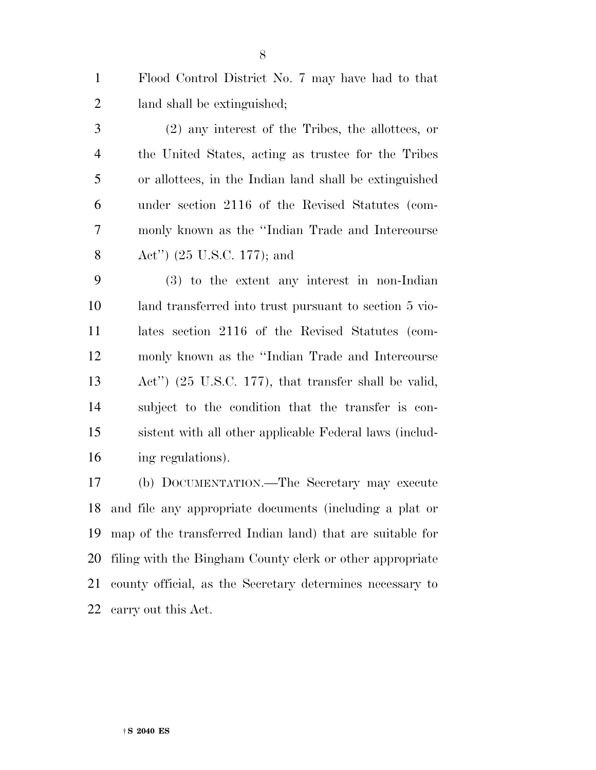Flood Control District No. 7 may have had to that land shall be extinguished;

 (2) any interest of the Tribes, the allottees, or the United States, acting as trustee for the Tribes or allottees, in the Indian land shall be extinguished under section 2116 of the Revised Statutes (com- monly known as the ''Indian Trade and Intercourse Act'') (25 U.S.C. 177); and

 (3) to the extent any interest in non-Indian land transferred into trust pursuant to section 5 vio- lates section 2116 of the Revised Statutes (com- monly known as the ''Indian Trade and Intercourse Act'') (25 U.S.C. 177), that transfer shall be valid, subject to the condition that the transfer is con- sistent with all other applicable Federal laws (includ-ing regulations).

 (b) DOCUMENTATION.—The Secretary may execute and file any appropriate documents (including a plat or map of the transferred Indian land) that are suitable for filing with the Bingham County clerk or other appropriate county official, as the Secretary determines necessary to carry out this Act.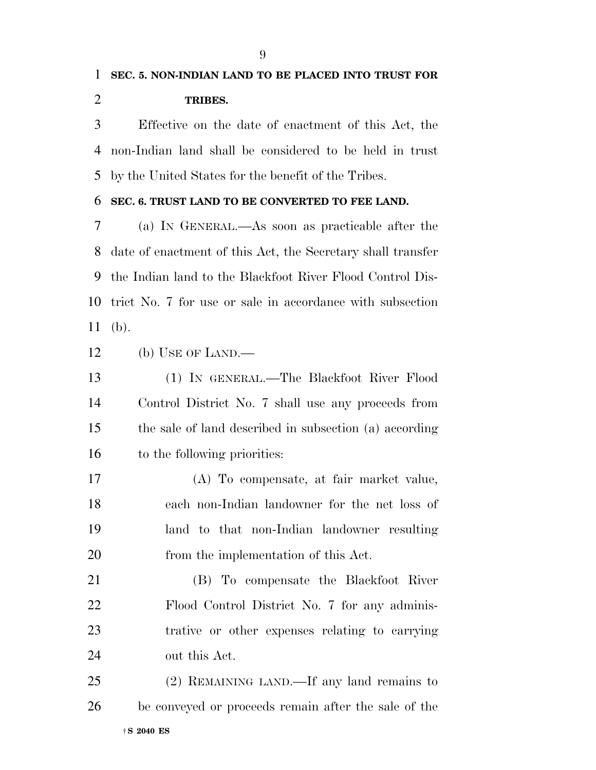### **SEC. 5. NON-INDIAN LAND TO BE PLACED INTO TRUST FOR TRIBES.**

 Effective on the date of enactment of this Act, the non-Indian land shall be considered to be held in trust by the United States for the benefit of the Tribes.

#### **SEC. 6. TRUST LAND TO BE CONVERTED TO FEE LAND.**

 (a) IN GENERAL.—As soon as practicable after the date of enactment of this Act, the Secretary shall transfer the Indian land to the Blackfoot River Flood Control Dis- trict No. 7 for use or sale in accordance with subsection (b).

(b) USE OF LAND.—

 (1) IN GENERAL.—The Blackfoot River Flood Control District No. 7 shall use any proceeds from the sale of land described in subsection (a) according to the following priorities:

 (A) To compensate, at fair market value, each non-Indian landowner for the net loss of land to that non-Indian landowner resulting from the implementation of this Act.

 (B) To compensate the Blackfoot River Flood Control District No. 7 for any adminis- trative or other expenses relating to carrying out this Act.

†**S 2040 ES** (2) REMAINING LAND.—If any land remains to be conveyed or proceeds remain after the sale of the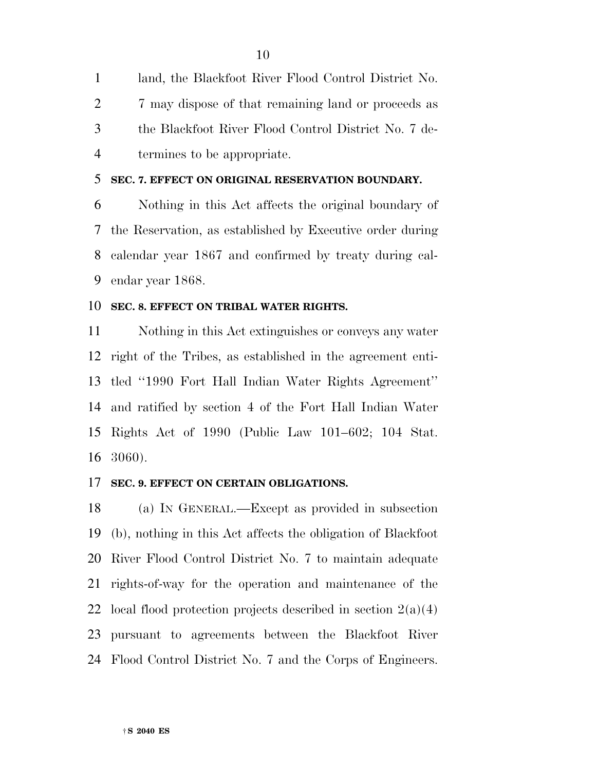land, the Blackfoot River Flood Control District No. 2 7 may dispose of that remaining land or proceeds as the Blackfoot River Flood Control District No. 7 de-termines to be appropriate.

#### **SEC. 7. EFFECT ON ORIGINAL RESERVATION BOUNDARY.**

 Nothing in this Act affects the original boundary of the Reservation, as established by Executive order during calendar year 1867 and confirmed by treaty during cal-endar year 1868.

#### **SEC. 8. EFFECT ON TRIBAL WATER RIGHTS.**

 Nothing in this Act extinguishes or conveys any water right of the Tribes, as established in the agreement enti- tled ''1990 Fort Hall Indian Water Rights Agreement'' and ratified by section 4 of the Fort Hall Indian Water Rights Act of 1990 (Public Law 101–602; 104 Stat. 3060).

#### **SEC. 9. EFFECT ON CERTAIN OBLIGATIONS.**

 (a) IN GENERAL.—Except as provided in subsection (b), nothing in this Act affects the obligation of Blackfoot River Flood Control District No. 7 to maintain adequate rights-of-way for the operation and maintenance of the 22 local flood protection projects described in section  $2(a)(4)$  pursuant to agreements between the Blackfoot River Flood Control District No. 7 and the Corps of Engineers.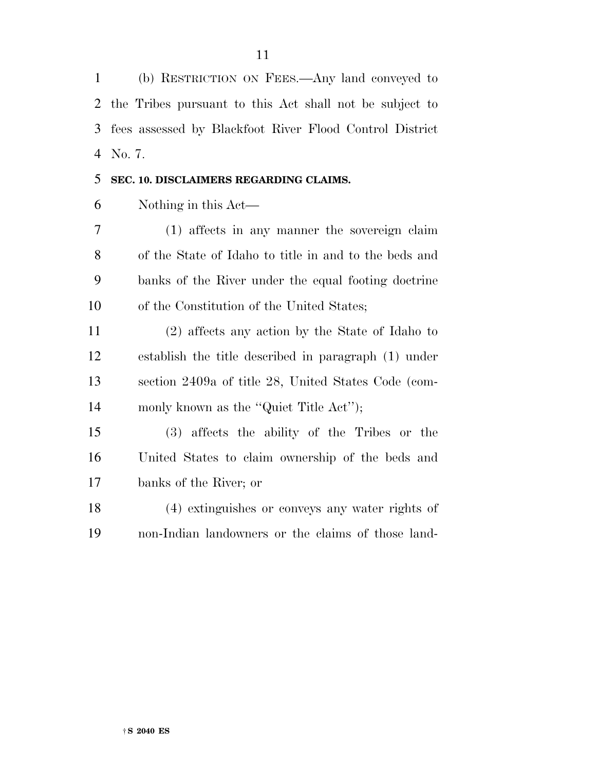(b) RESTRICTION ON FEES.—Any land conveyed to the Tribes pursuant to this Act shall not be subject to fees assessed by Blackfoot River Flood Control District No. 7.

#### **SEC. 10. DISCLAIMERS REGARDING CLAIMS.**

Nothing in this Act—

 (1) affects in any manner the sovereign claim of the State of Idaho to title in and to the beds and banks of the River under the equal footing doctrine of the Constitution of the United States;

 (2) affects any action by the State of Idaho to establish the title described in paragraph (1) under section 2409a of title 28, United States Code (com-14 monly known as the "Quiet Title Act");

 (3) affects the ability of the Tribes or the United States to claim ownership of the beds and banks of the River; or

 (4) extinguishes or conveys any water rights of non-Indian landowners or the claims of those land-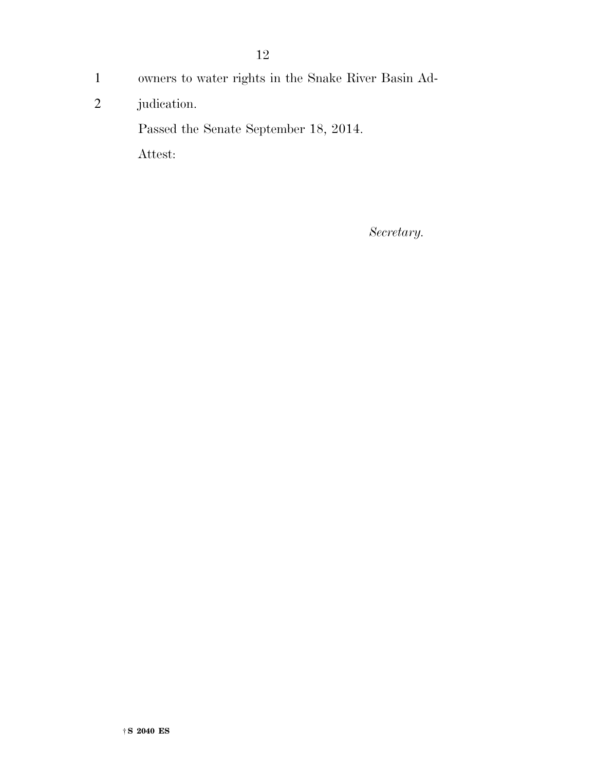- 1 owners to water rights in the Snake River Basin Ad-
- 2 judication.

Passed the Senate September 18, 2014.

Attest:

*Secretary.*